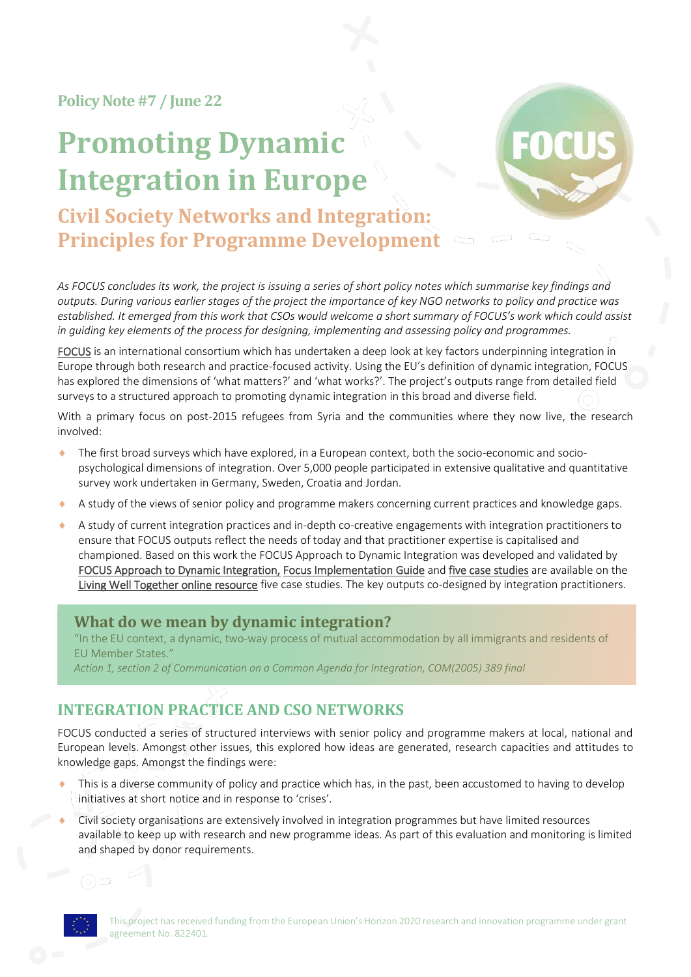**Policy Note#7 / June 22**

# **Promoting Dynamic Integration in Europe**



## **Civil Society Networks and Integration: Principles for Programme Development**

*As FOCUS concludes its work, the project is issuing a series of short policy notes which summarise key findings and outputs. During various earlier stages of the project the importance of key NGO networks to policy and practice was established. It emerged from this work that CSOs would welcome a short summary of FOCUS's work which could assist in guiding key elements of the process for designing, implementing and assessing policy and programmes.*

[FOCUS](http://www.focus-refugees.eu/) is an international consortium which has undertaken a deep look at key factors underpinning integration in Europe through both research and practice-focused activity. Using the EU's definition of dynamic integration, FOCUS has explored the dimensions of 'what matters?' and 'what works?'. The project's outputs range from detailed field surveys to a structured approach to promoting dynamic integration in this broad and diverse field.

With a primary focus on post-2015 refugees from Syria and the communities where they now live, the research involved:

- The first broad surveys which have explored, in a European context, both the socio-economic and sociopsychological dimensions of integration. Over 5,000 people participated in extensive qualitative and quantitative survey work undertaken in Germany, Sweden, Croatia and Jordan.
- A study of the views of senior policy and programme makers concerning current practices and knowledge gaps.
- A study of current integration practices and in-depth co-creative engagements with integration practitioners to ensure that FOCUS outputs reflect the needs of today and that practitioner expertise is capitalised and championed. Based on this work the FOCUS Approach to Dynamic Integration was developed and validated by [FOCUS Approach to Dynamic Integration,](http://www.focus-refugees.eu/resource#approach) [Focus Implementation Guide](https://www.focus-refugees.eu/resource/#ig) an[d five case studies](https://www.focus-refugees.eu/resource/#casestudies) are available on the [Living Well Together online resource](https://www.focus-refugees.eu/resource/) five case studies. The key outputs co-designed by integration practitioners.

### **What do we mean by dynamic integration?**

"In the EU context, a dynamic, two-way process of mutual accommodation by all immigrants and residents of EU Member States."

*Action 1, section 2 of Communication on a Common Agenda for Integration, COM(2005) 389 final*

## **INTEGRATION PRACTICE AND CSO NETWORKS**

FOCUS conducted a series of structured interviews with senior policy and programme makers at local, national and European levels. Amongst other issues, this explored how ideas are generated, research capacities and attitudes to knowledge gaps. Amongst the findings were:

- This is a diverse community of policy and practice which has, in the past, been accustomed to having to develop initiatives at short notice and in response to 'crises'.
- Civil society organisations are extensively involved in integration programmes but have limited resources available to keep up with research and new programme ideas. As part of this evaluation and monitoring is limited and shaped by donor requirements.

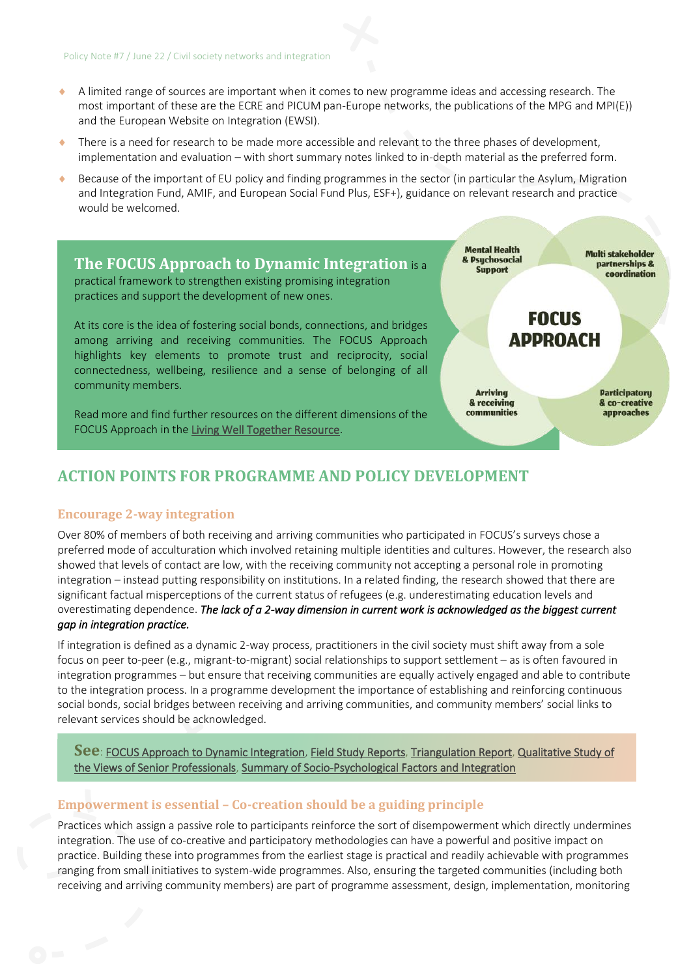- $\bullet$  A limited range of sources are important when it comes to new programme ideas and accessing research. The most important of these are the ECRE and PICUM pan-Europe networks, the publications of the MPG and MPI(E)) and the European Website on Integration (EWSI).
- There is a need for research to be made more accessible and relevant to the three phases of development, implementation and evaluation – with short summary notes linked to in-depth material as the preferred form.
- Because of the important of EU policy and finding programmes in the sector (in particular the Asylum, Migration and Integration Fund, AMIF, and European Social Fund Plus, ESF+), guidance on relevant research and practice would be welcomed.



## **ACTION POINTS FOR PROGRAMME AND POLICY DEVELOPMENT**

#### **Encourage 2-way integration**

Over 80% of members of both receiving and arriving communities who participated in FOCUS's surveys chose a preferred mode of acculturation which involved retaining multiple identities and cultures. However, the research also showed that levels of contact are low, with the receiving community not accepting a personal role in promoting integration – instead putting responsibility on institutions. In a related finding, the research showed that there are significant factual misperceptions of the current status of refugees (e.g. underestimating education levels and overestimating dependence. *The lack of a 2-way dimension in current work is acknowledged as the biggest current gap in integration practice.* 

If integration is defined as a dynamic 2-way process, practitioners in the civil society must shift away from a sole focus on peer to-peer (e.g., migrant-to-migrant) social relationships to support settlement – as is often favoured in integration programmes – but ensure that receiving communities are equally actively engaged and able to contribute to the integration process. In a programme development the importance of establishing and reinforcing continuous social bonds, social bridges between receiving and arriving communities, and community members' social links to relevant services should be acknowledged.

**See**: [FOCUS Approach to Dynamic Integration,](http://www.focus-refugees.eu/resource#approach) [Field Study Reports,](https://www.focus-refugees.eu/results/#research) [Triangulation Report,](https://www.focus-refugees.eu/wp-content/uploads/FOCUS-Triangulation-report.pdf) [Qualitative Study of](https://www.focus-refugees.eu/wp-content/uploads/FOCUS_Brief-1_Integration-practice-in-Europe.pdf)  [the Views of Senior Professionals,](https://www.focus-refugees.eu/wp-content/uploads/FOCUS_Brief-1_Integration-practice-in-Europe.pdf) [Summary of Socio-Psychological Factors and Integration](https://www.focus-refugees.eu/wp-content/uploads/FOCUS_Policy-Note-2_SP-factors.pdf)

#### **Empowerment is essential – Co-creation should be a guiding principle**

Practices which assign a passive role to participants reinforce the sort of disempowerment which directly undermines integration. The use of co-creative and participatory methodologies can have a powerful and positive impact on practice. Building these into programmes from the earliest stage is practical and readily achievable with programmes ranging from small initiatives to system-wide programmes. Also, ensuring the targeted communities (including both receiving and arriving community members) are part of programme assessment, design, implementation, monitoring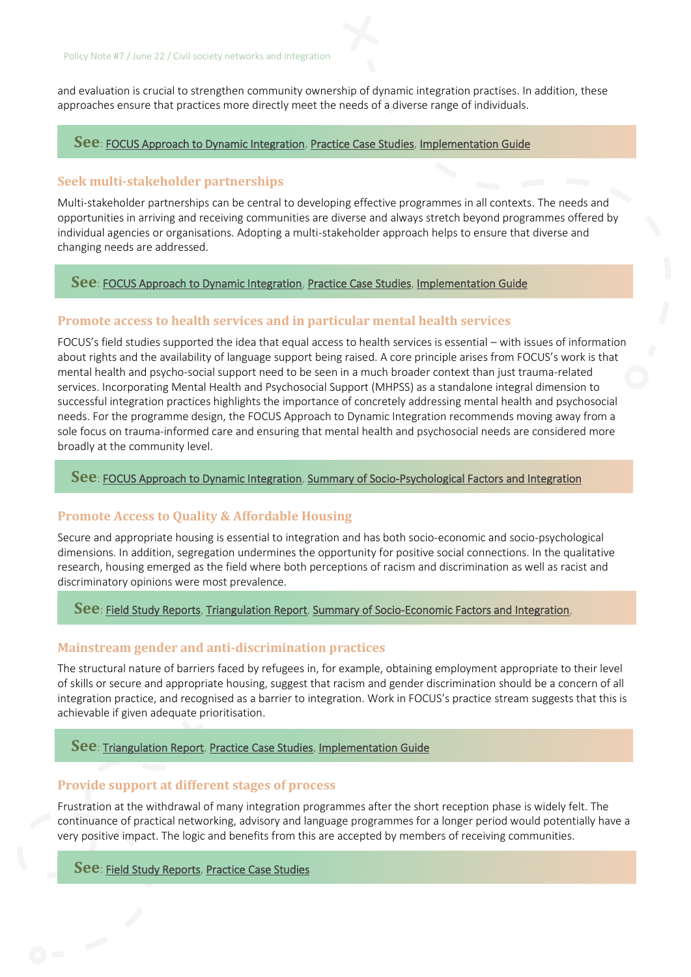and evaluation is crucial to strengthen community ownership of dynamic integration practises. In addition, these approaches ensure that practices more directly meet the needs of a diverse range of individuals.

#### **See**: [FOCUS Approach to Dynamic Integration,](http://www.focus-refugees.eu/resource#approach) [Practice Case Studies,](https://www.focus-refugees.eu/resource/#casestudies) [Implementation Guide](https://www.focus-refugees.eu/resource/#ig)

#### **Seek multi-stakeholder partnerships**

Multi-stakeholder partnerships can be central to developing effective programmes in all contexts. The needs and opportunities in arriving and receiving communities are diverse and always stretch beyond programmes offered by individual agencies or organisations. Adopting a multi-stakeholder approach helps to ensure that diverse and changing needs are addressed.

#### **See**[: FOCUS Approach to Dynamic Integration,](http://www.focus-refugees.eu/resource#approach) [Practice Case Studies,](https://www.focus-refugees.eu/resource/#casestudies) [Implementation Guide](https://www.focus-refugees.eu/resource/#ig)

#### **Promote access to health services and in particular mental health services**

FOCUS's field studies supported the idea that equal access to health services is essential – with issues of information about rights and the availability of language support being raised. A core principle arises from FOCUS's work is that mental health and psycho-social support need to be seen in a much broader context than just trauma-related services. Incorporating Mental Health and Psychosocial Support (MHPSS) as a standalone integral dimension to successful integration practices highlights the importance of concretely addressing mental health and psychosocial needs. For the programme design, the FOCUS Approach to Dynamic Integration recommends moving away from a sole focus on trauma-informed care and ensuring that mental health and psychosocial needs are considered more broadly at the community level.

#### **See**[: FOCUS Approach to Dynamic Integration,](http://www.focus-refugees.eu/resource#approach) [Summary of Socio-Psychological Factors and Integration](https://www.focus-refugees.eu/wp-content/uploads/FOCUS_Policy-Note-2_SP-factors.pdf)

#### **Promote Access to Quality & Affordable Housing**

Secure and appropriate housing is essential to integration and has both socio-economic and socio-psychological dimensions. In addition, segregation undermines the opportunity for positive social connections. In the qualitative research, housing emerged as the field where both perceptions of racism and discrimination as well as racist and discriminatory opinions were most prevalence.

#### **See**: [Field Study Reports,](https://www.focus-refugees.eu/results/#research) [Triangulation Report,](https://www.focus-refugees.eu/wp-content/uploads/FOCUS-Triangulation-report.pdf) [Summary of Socio-Economic Factors and Integration,](https://www.focus-refugees.eu/wp-content/uploads/FOCUS_Brief-3_Socio-economic-factors_Oct2020.pdf)

#### **Mainstream gender and anti-discrimination practices**

The structural nature of barriers faced by refugees in, for example, obtaining employment appropriate to their level of skills or secure and appropriate housing, suggest that racism and gender discrimination should be a concern of all integration practice, and recognised as a barrier to integration. Work in FOCUS's practice stream suggests that this is achievable if given adequate prioritisation.

#### **See**[: Triangulation Report,](https://www.focus-refugees.eu/wp-content/uploads/FOCUS-Triangulation-report.pdf) [Practice Case Studies,](https://www.focus-refugees.eu/resource/#casestudies) [Implementation Guide](https://www.focus-refugees.eu/resource/#ig)

#### **Provide support at different stages of process**

Frustration at the withdrawal of many integration programmes after the short reception phase is widely felt. The continuance of practical networking, advisory and language programmes for a longer period would potentially have a very positive impact. The logic and benefits from this are accepted by members of receiving communities.

#### **See**: [Field Study Reports,](https://www.focus-refugees.eu/results/#research) [Practice Case Studies](https://www.focus-refugees.eu/resource/#casestudies)